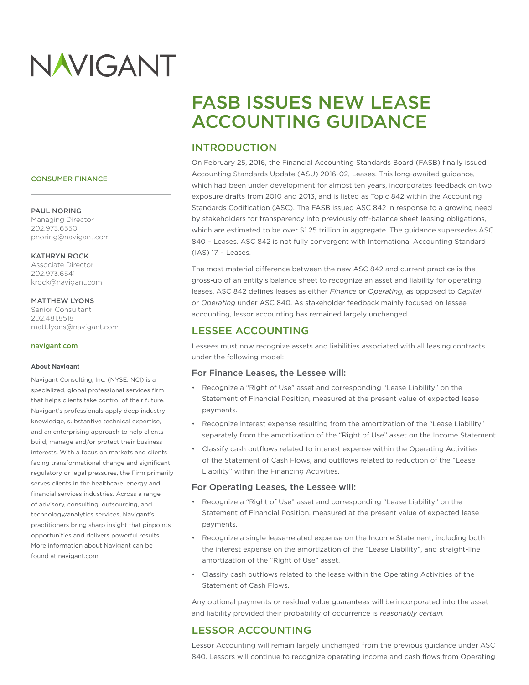# NAVIGANT

#### CONSUMER FINANCE

#### PAUL NORING

Managing Director 202.973.6550 pnoring@navigant.com

#### KATHRYN ROCK

Associate Director 202.973.6541 krock@navigant.com

#### MATTHEW LYONS

Senior Consultant 202.481.8518 matt.lyons@navigant.com

#### navigant.com

#### **About Navigant**

Navigant Consulting, Inc. (NYSE: NCI) is a specialized, global professional services firm that helps clients take control of their future. Navigant's professionals apply deep industry knowledge, substantive technical expertise, and an enterprising approach to help clients build, manage and/or protect their business interests. With a focus on markets and clients facing transformational change and significant regulatory or legal pressures, the Firm primarily serves clients in the healthcare, energy and financial services industries. Across a range of advisory, consulting, outsourcing, and technology/analytics services, Navigant's practitioners bring sharp insight that pinpoints opportunities and delivers powerful results. More information about Navigant can be found at navigant.com.

# FASB ISSUES NEW LEASE ACCOUNTING GUIDANCE

# INTRODUCTION

On February 25, 2016, the Financial Accounting Standards Board (FASB) finally issued Accounting Standards Update (ASU) 2016-02, Leases. This long-awaited guidance, which had been under development for almost ten years, incorporates feedback on two exposure drafts from 2010 and 2013, and is listed as Topic 842 within the Accounting Standards Codification (ASC). The FASB issued ASC 842 in response to a growing need by stakeholders for transparency into previously off-balance sheet leasing obligations, which are estimated to be over \$1.25 trillion in aggregate. The guidance supersedes ASC 840 – Leases. ASC 842 is not fully convergent with International Accounting Standard (IAS) 17 – Leases.

The most material difference between the new ASC 842 and current practice is the gross-up of an entity's balance sheet to recognize an asset and liability for operating leases. ASC 842 defines leases as either *Finance* or *Operating,* as opposed to *Capital* or *Operating* under ASC 840. As stakeholder feedback mainly focused on lessee accounting, lessor accounting has remained largely unchanged.

# LESSEE ACCOUNTING

Lessees must now recognize assets and liabilities associated with all leasing contracts under the following model:

#### For Finance Leases, the Lessee will:

- Recognize a "Right of Use" asset and corresponding "Lease Liability" on the Statement of Financial Position, measured at the present value of expected lease payments.
- Recognize interest expense resulting from the amortization of the "Lease Liability" separately from the amortization of the "Right of Use" asset on the Income Statement.
- Classify cash outflows related to interest expense within the Operating Activities of the Statement of Cash Flows, and outflows related to reduction of the "Lease Liability" within the Financing Activities.

#### For Operating Leases, the Lessee will:

- Recognize a "Right of Use" asset and corresponding "Lease Liability" on the Statement of Financial Position, measured at the present value of expected lease payments.
- Recognize a single lease-related expense on the Income Statement, including both the interest expense on the amortization of the "Lease Liability", and straight-line amortization of the "Right of Use" asset.
- Classify cash outflows related to the lease within the Operating Activities of the Statement of Cash Flows.

Any optional payments or residual value guarantees will be incorporated into the asset and liability provided their probability of occurrence is *reasonably certain.*

# LESSOR ACCOUNTING

Lessor Accounting will remain largely unchanged from the previous guidance under ASC 840. Lessors will continue to recognize operating income and cash flows from Operating